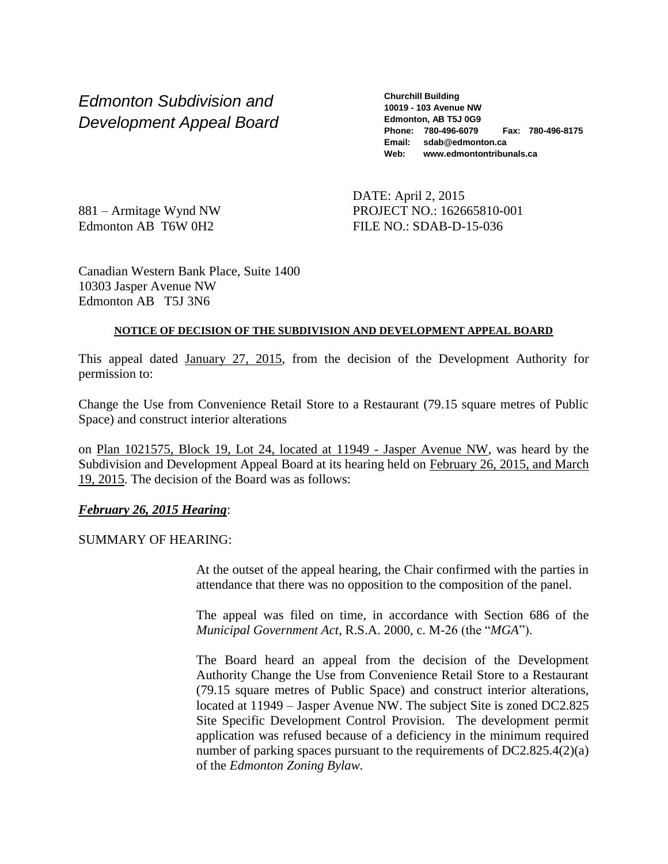*Edmonton Subdivision and Development Appeal Board* **Churchill Building 10019 - 103 Avenue NW Edmonton, AB T5J 0G9 Phone: 780-496-6079 Fax: 780-496-8175 Email: sdab@edmonton.ca Web: www.edmontontribunals.ca**

881 – Armitage Wynd NW Edmonton AB T6W 0H2

DATE: April 2, 2015 PROJECT NO.: 162665810-001 FILE NO.: SDAB-D-15-036

Canadian Western Bank Place, Suite 1400 10303 Jasper Avenue NW Edmonton AB T5J 3N6

## **NOTICE OF DECISION OF THE SUBDIVISION AND DEVELOPMENT APPEAL BOARD**

This appeal dated January 27, 2015, from the decision of the Development Authority for permission to:

Change the Use from Convenience Retail Store to a Restaurant (79.15 square metres of Public Space) and construct interior alterations

on Plan 1021575, Block 19, Lot 24, located at 11949 - Jasper Avenue NW, was heard by the Subdivision and Development Appeal Board at its hearing held on February 26, 2015, and March 19, 2015. The decision of the Board was as follows:

# *February 26, 2015 Hearing*:

SUMMARY OF HEARING:

At the outset of the appeal hearing, the Chair confirmed with the parties in attendance that there was no opposition to the composition of the panel.

The appeal was filed on time, in accordance with Section 686 of the *Municipal Government Act*, R.S.A. 2000, c. M-26 (the "*MGA*").

The Board heard an appeal from the decision of the Development Authority Change the Use from Convenience Retail Store to a Restaurant (79.15 square metres of Public Space) and construct interior alterations, located at 11949 – Jasper Avenue NW. The subject Site is zoned DC2.825 Site Specific Development Control Provision. The development permit application was refused because of a deficiency in the minimum required number of parking spaces pursuant to the requirements of DC2.825.4(2)(a) of the *Edmonton Zoning Bylaw.*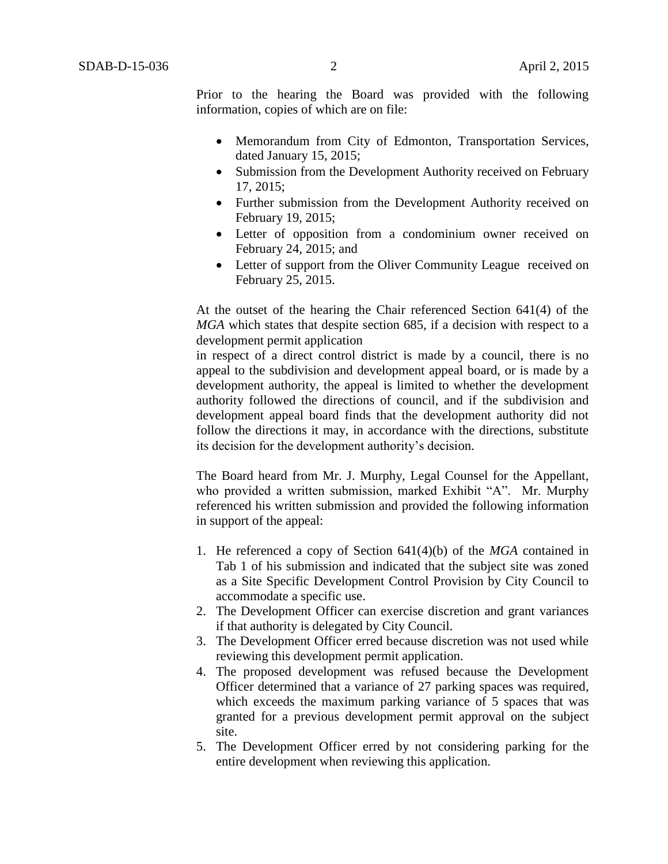Prior to the hearing the Board was provided with the following information, copies of which are on file:

- Memorandum from City of Edmonton, Transportation Services, dated January 15, 2015;
- Submission from the Development Authority received on February 17, 2015;
- Further submission from the Development Authority received on February 19, 2015;
- Letter of opposition from a condominium owner received on February 24, 2015; and
- Letter of support from the Oliver Community League received on February 25, 2015.

At the outset of the hearing the Chair referenced Section 641(4) of the *MGA* which states that despite section 685, if a decision with respect to a development permit application

in respect of a direct control district is made by a council, there is no appeal to the subdivision and development appeal board, or is made by a development authority, the appeal is limited to whether the development authority followed the directions of council, and if the subdivision and development appeal board finds that the development authority did not follow the directions it may, in accordance with the directions, substitute its decision for the development authority's decision.

The Board heard from Mr. J. Murphy, Legal Counsel for the Appellant, who provided a written submission, marked Exhibit "A". Mr. Murphy referenced his written submission and provided the following information in support of the appeal:

- 1. He referenced a copy of Section 641(4)(b) of the *MGA* contained in Tab 1 of his submission and indicated that the subject site was zoned as a Site Specific Development Control Provision by City Council to accommodate a specific use.
- 2. The Development Officer can exercise discretion and grant variances if that authority is delegated by City Council.
- 3. The Development Officer erred because discretion was not used while reviewing this development permit application.
- 4. The proposed development was refused because the Development Officer determined that a variance of 27 parking spaces was required, which exceeds the maximum parking variance of 5 spaces that was granted for a previous development permit approval on the subject site.
- 5. The Development Officer erred by not considering parking for the entire development when reviewing this application.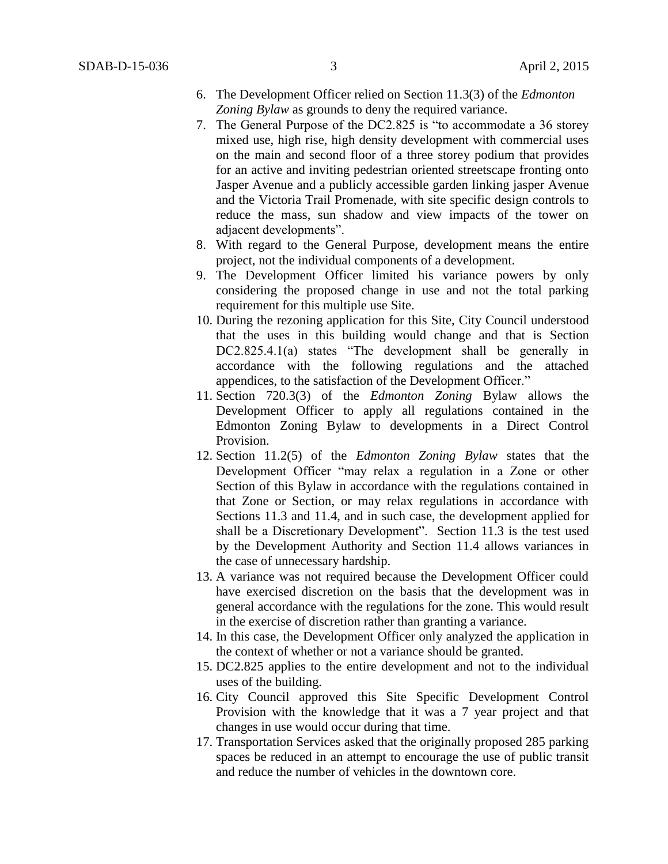- 6. The Development Officer relied on Section 11.3(3) of the *Edmonton Zoning Bylaw* as grounds to deny the required variance.
- 7. The General Purpose of the DC2.825 is "to accommodate a 36 storey mixed use, high rise, high density development with commercial uses on the main and second floor of a three storey podium that provides for an active and inviting pedestrian oriented streetscape fronting onto Jasper Avenue and a publicly accessible garden linking jasper Avenue and the Victoria Trail Promenade, with site specific design controls to reduce the mass, sun shadow and view impacts of the tower on adjacent developments".
- 8. With regard to the General Purpose, development means the entire project, not the individual components of a development.
- 9. The Development Officer limited his variance powers by only considering the proposed change in use and not the total parking requirement for this multiple use Site.
- 10. During the rezoning application for this Site, City Council understood that the uses in this building would change and that is Section DC2.825.4.1(a) states "The development shall be generally in accordance with the following regulations and the attached appendices, to the satisfaction of the Development Officer."
- 11. Section 720.3(3) of the *Edmonton Zoning* Bylaw allows the Development Officer to apply all regulations contained in the Edmonton Zoning Bylaw to developments in a Direct Control Provision.
- 12. Section 11.2(5) of the *Edmonton Zoning Bylaw* states that the Development Officer "may relax a regulation in a Zone or other Section of this Bylaw in accordance with the regulations contained in that Zone or Section, or may relax regulations in accordance with Sections 11.3 and 11.4, and in such case, the development applied for shall be a Discretionary Development". Section 11.3 is the test used by the Development Authority and Section 11.4 allows variances in the case of unnecessary hardship.
- 13. A variance was not required because the Development Officer could have exercised discretion on the basis that the development was in general accordance with the regulations for the zone. This would result in the exercise of discretion rather than granting a variance.
- 14. In this case, the Development Officer only analyzed the application in the context of whether or not a variance should be granted.
- 15. DC2.825 applies to the entire development and not to the individual uses of the building.
- 16. City Council approved this Site Specific Development Control Provision with the knowledge that it was a 7 year project and that changes in use would occur during that time.
- 17. Transportation Services asked that the originally proposed 285 parking spaces be reduced in an attempt to encourage the use of public transit and reduce the number of vehicles in the downtown core.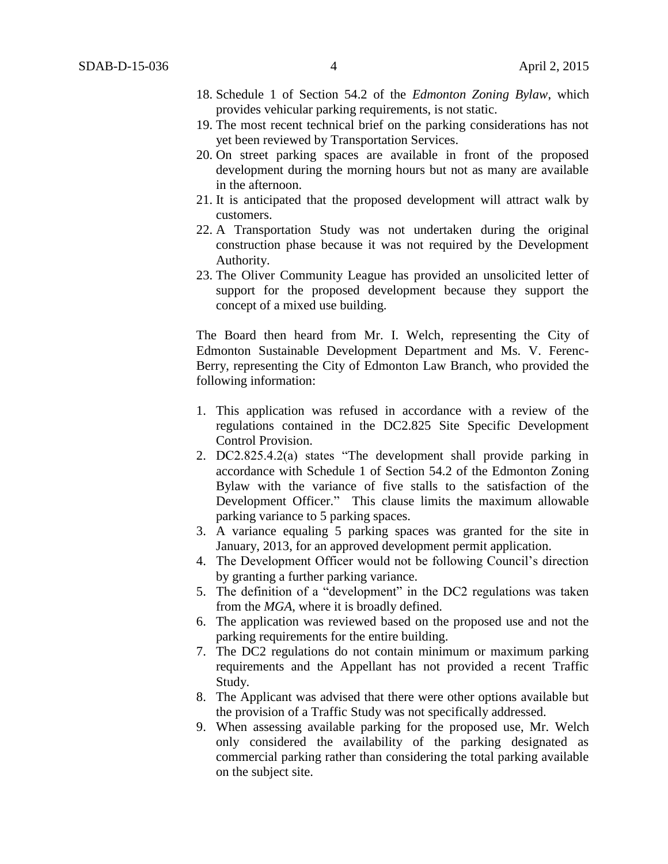- 18. Schedule 1 of Section 54.2 of the *Edmonton Zoning Bylaw*, which provides vehicular parking requirements, is not static.
- 19. The most recent technical brief on the parking considerations has not yet been reviewed by Transportation Services.
- 20. On street parking spaces are available in front of the proposed development during the morning hours but not as many are available in the afternoon.
- 21. It is anticipated that the proposed development will attract walk by customers.
- 22. A Transportation Study was not undertaken during the original construction phase because it was not required by the Development Authority.
- 23. The Oliver Community League has provided an unsolicited letter of support for the proposed development because they support the concept of a mixed use building.

The Board then heard from Mr. I. Welch, representing the City of Edmonton Sustainable Development Department and Ms. V. Ferenc-Berry, representing the City of Edmonton Law Branch, who provided the following information:

- 1. This application was refused in accordance with a review of the regulations contained in the DC2.825 Site Specific Development Control Provision.
- 2. DC2.825.4.2(a) states "The development shall provide parking in accordance with Schedule 1 of Section 54.2 of the Edmonton Zoning Bylaw with the variance of five stalls to the satisfaction of the Development Officer." This clause limits the maximum allowable parking variance to 5 parking spaces.
- 3. A variance equaling 5 parking spaces was granted for the site in January, 2013, for an approved development permit application.
- 4. The Development Officer would not be following Council's direction by granting a further parking variance.
- 5. The definition of a "development" in the DC2 regulations was taken from the *MGA*, where it is broadly defined.
- 6. The application was reviewed based on the proposed use and not the parking requirements for the entire building.
- 7. The DC2 regulations do not contain minimum or maximum parking requirements and the Appellant has not provided a recent Traffic Study.
- 8. The Applicant was advised that there were other options available but the provision of a Traffic Study was not specifically addressed.
- 9. When assessing available parking for the proposed use, Mr. Welch only considered the availability of the parking designated as commercial parking rather than considering the total parking available on the subject site.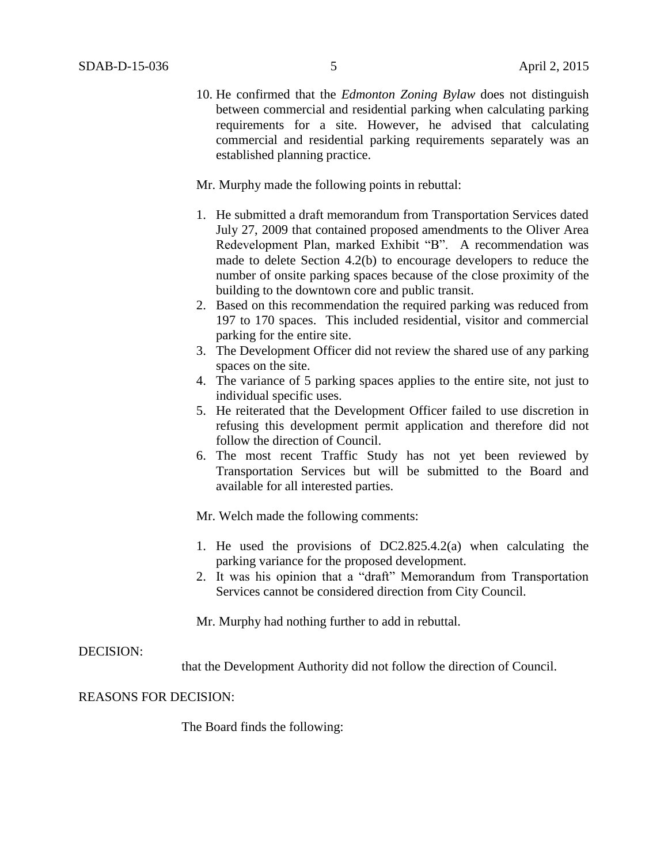10. He confirmed that the *Edmonton Zoning Bylaw* does not distinguish between commercial and residential parking when calculating parking requirements for a site. However, he advised that calculating commercial and residential parking requirements separately was an established planning practice.

Mr. Murphy made the following points in rebuttal:

- 1. He submitted a draft memorandum from Transportation Services dated July 27, 2009 that contained proposed amendments to the Oliver Area Redevelopment Plan, marked Exhibit "B". A recommendation was made to delete Section 4.2(b) to encourage developers to reduce the number of onsite parking spaces because of the close proximity of the building to the downtown core and public transit.
- 2. Based on this recommendation the required parking was reduced from 197 to 170 spaces. This included residential, visitor and commercial parking for the entire site.
- 3. The Development Officer did not review the shared use of any parking spaces on the site.
- 4. The variance of 5 parking spaces applies to the entire site, not just to individual specific uses.
- 5. He reiterated that the Development Officer failed to use discretion in refusing this development permit application and therefore did not follow the direction of Council.
- 6. The most recent Traffic Study has not yet been reviewed by Transportation Services but will be submitted to the Board and available for all interested parties.

Mr. Welch made the following comments:

- 1. He used the provisions of DC2.825.4.2(a) when calculating the parking variance for the proposed development.
- 2. It was his opinion that a "draft" Memorandum from Transportation Services cannot be considered direction from City Council.

Mr. Murphy had nothing further to add in rebuttal.

#### DECISION:

that the Development Authority did not follow the direction of Council.

# REASONS FOR DECISION:

The Board finds the following: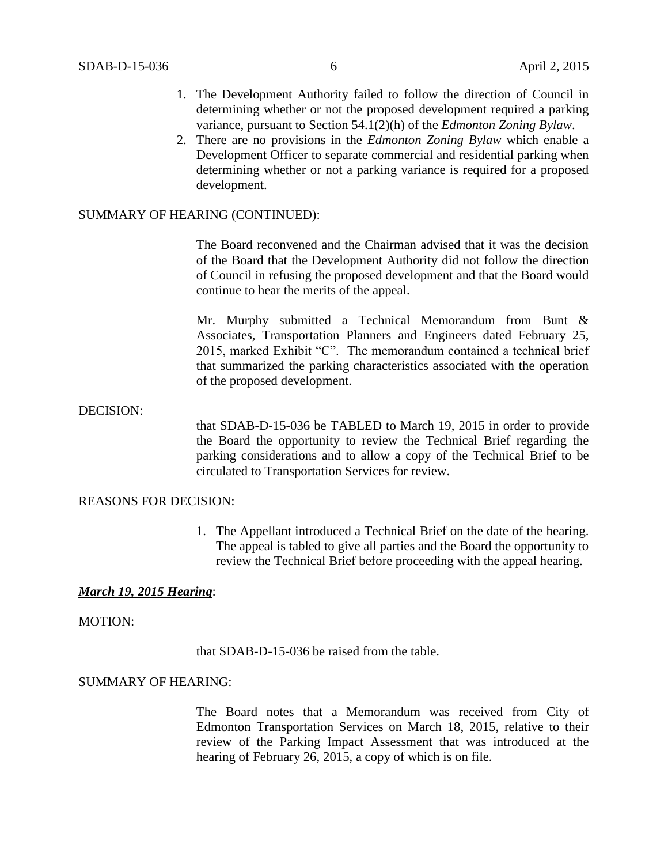- 1. The Development Authority failed to follow the direction of Council in determining whether or not the proposed development required a parking variance, pursuant to Section 54.1(2)(h) of the *Edmonton Zoning Bylaw*.
- 2. There are no provisions in the *Edmonton Zoning Bylaw* which enable a Development Officer to separate commercial and residential parking when determining whether or not a parking variance is required for a proposed development.

## SUMMARY OF HEARING (CONTINUED):

The Board reconvened and the Chairman advised that it was the decision of the Board that the Development Authority did not follow the direction of Council in refusing the proposed development and that the Board would continue to hear the merits of the appeal.

Mr. Murphy submitted a Technical Memorandum from Bunt & Associates, Transportation Planners and Engineers dated February 25, 2015, marked Exhibit "C". The memorandum contained a technical brief that summarized the parking characteristics associated with the operation of the proposed development.

#### DECISION:

that SDAB-D-15-036 be TABLED to March 19, 2015 in order to provide the Board the opportunity to review the Technical Brief regarding the parking considerations and to allow a copy of the Technical Brief to be circulated to Transportation Services for review.

#### REASONS FOR DECISION:

1. The Appellant introduced a Technical Brief on the date of the hearing. The appeal is tabled to give all parties and the Board the opportunity to review the Technical Brief before proceeding with the appeal hearing.

## *March 19, 2015 Hearing*:

### MOTION:

that SDAB-D-15-036 be raised from the table.

# SUMMARY OF HEARING:

The Board notes that a Memorandum was received from City of Edmonton Transportation Services on March 18, 2015, relative to their review of the Parking Impact Assessment that was introduced at the hearing of February 26, 2015, a copy of which is on file.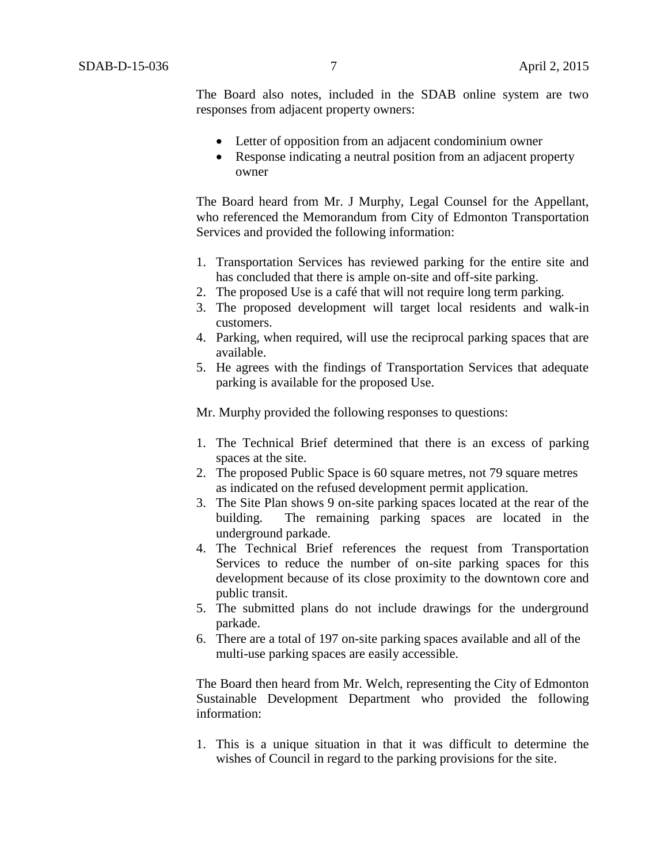The Board also notes, included in the SDAB online system are two responses from adjacent property owners:

- Letter of opposition from an adjacent condominium owner
- Response indicating a neutral position from an adjacent property owner

The Board heard from Mr. J Murphy, Legal Counsel for the Appellant, who referenced the Memorandum from City of Edmonton Transportation Services and provided the following information:

- 1. Transportation Services has reviewed parking for the entire site and has concluded that there is ample on-site and off-site parking.
- 2. The proposed Use is a café that will not require long term parking.
- 3. The proposed development will target local residents and walk-in customers.
- 4. Parking, when required, will use the reciprocal parking spaces that are available.
- 5. He agrees with the findings of Transportation Services that adequate parking is available for the proposed Use.

Mr. Murphy provided the following responses to questions:

- 1. The Technical Brief determined that there is an excess of parking spaces at the site.
- 2. The proposed Public Space is 60 square metres, not 79 square metres as indicated on the refused development permit application.
- 3. The Site Plan shows 9 on-site parking spaces located at the rear of the building. The remaining parking spaces are located in the underground parkade.
- 4. The Technical Brief references the request from Transportation Services to reduce the number of on-site parking spaces for this development because of its close proximity to the downtown core and public transit.
- 5. The submitted plans do not include drawings for the underground parkade.
- 6. There are a total of 197 on-site parking spaces available and all of the multi-use parking spaces are easily accessible.

The Board then heard from Mr. Welch, representing the City of Edmonton Sustainable Development Department who provided the following information:

1. This is a unique situation in that it was difficult to determine the wishes of Council in regard to the parking provisions for the site.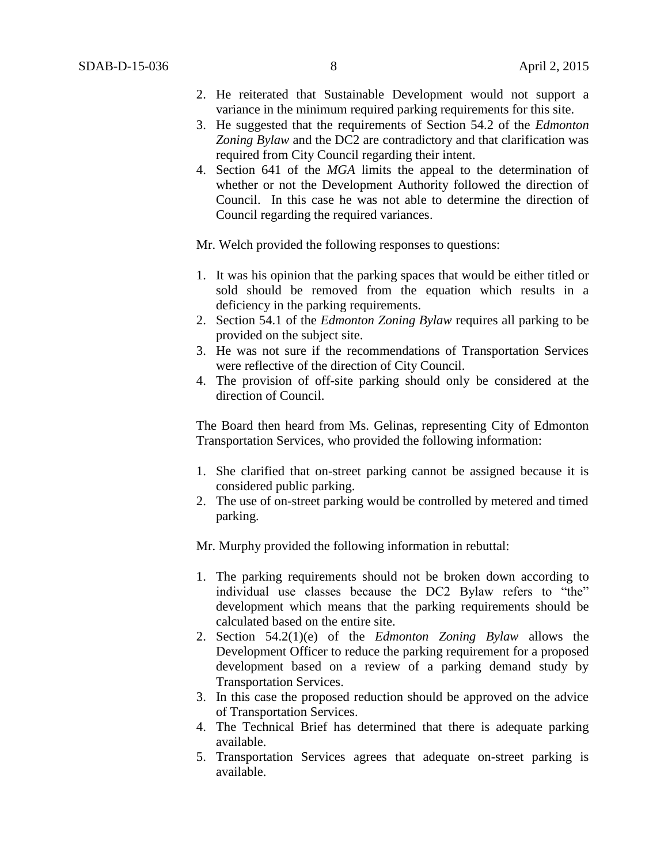- 2. He reiterated that Sustainable Development would not support a variance in the minimum required parking requirements for this site.
- 3. He suggested that the requirements of Section 54.2 of the *Edmonton Zoning Bylaw* and the DC2 are contradictory and that clarification was required from City Council regarding their intent.
- 4. Section 641 of the *MGA* limits the appeal to the determination of whether or not the Development Authority followed the direction of Council. In this case he was not able to determine the direction of Council regarding the required variances.

Mr. Welch provided the following responses to questions:

- 1. It was his opinion that the parking spaces that would be either titled or sold should be removed from the equation which results in a deficiency in the parking requirements.
- 2. Section 54.1 of the *Edmonton Zoning Bylaw* requires all parking to be provided on the subject site.
- 3. He was not sure if the recommendations of Transportation Services were reflective of the direction of City Council.
- 4. The provision of off-site parking should only be considered at the direction of Council.

The Board then heard from Ms. Gelinas, representing City of Edmonton Transportation Services, who provided the following information:

- 1. She clarified that on-street parking cannot be assigned because it is considered public parking.
- 2. The use of on-street parking would be controlled by metered and timed parking.

Mr. Murphy provided the following information in rebuttal:

- 1. The parking requirements should not be broken down according to individual use classes because the DC2 Bylaw refers to "the" development which means that the parking requirements should be calculated based on the entire site.
- 2. Section 54.2(1)(e) of the *Edmonton Zoning Bylaw* allows the Development Officer to reduce the parking requirement for a proposed development based on a review of a parking demand study by Transportation Services.
- 3. In this case the proposed reduction should be approved on the advice of Transportation Services.
- 4. The Technical Brief has determined that there is adequate parking available.
- 5. Transportation Services agrees that adequate on-street parking is available.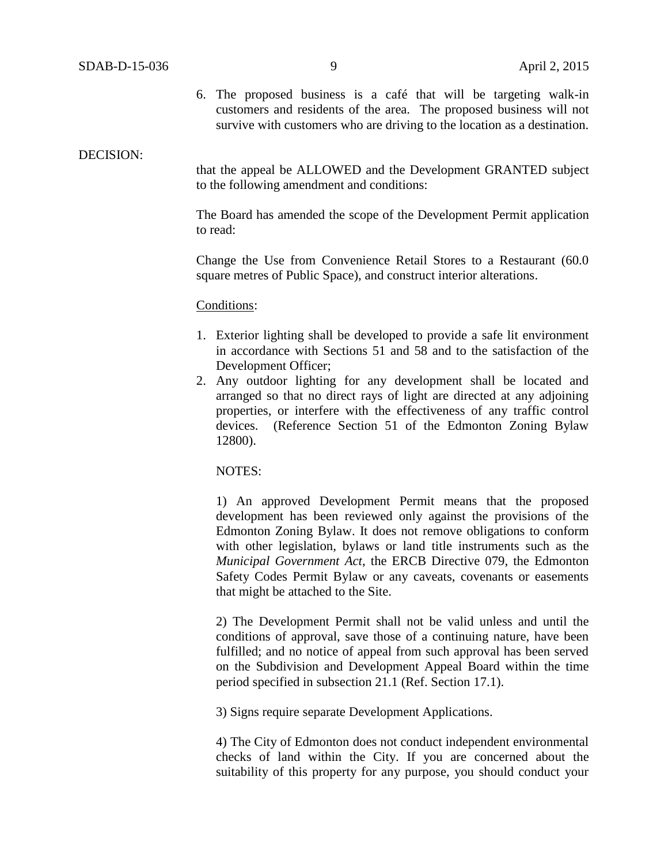6. The proposed business is a café that will be targeting walk-in customers and residents of the area. The proposed business will not survive with customers who are driving to the location as a destination.

#### DECISION:

that the appeal be ALLOWED and the Development GRANTED subject to the following amendment and conditions:

The Board has amended the scope of the Development Permit application to read:

Change the Use from Convenience Retail Stores to a Restaurant (60.0 square metres of Public Space), and construct interior alterations.

### Conditions:

- 1. Exterior lighting shall be developed to provide a safe lit environment in accordance with Sections 51 and 58 and to the satisfaction of the Development Officer;
- 2. Any outdoor lighting for any development shall be located and arranged so that no direct rays of light are directed at any adjoining properties, or interfere with the effectiveness of any traffic control devices. (Reference Section 51 of the Edmonton Zoning Bylaw 12800).

NOTES:

1) An approved Development Permit means that the proposed development has been reviewed only against the provisions of the Edmonton Zoning Bylaw. It does not remove obligations to conform with other legislation, bylaws or land title instruments such as the *Municipal Government Act*, the ERCB Directive 079, the Edmonton Safety Codes Permit Bylaw or any caveats, covenants or easements that might be attached to the Site.

2) The Development Permit shall not be valid unless and until the conditions of approval, save those of a continuing nature, have been fulfilled; and no notice of appeal from such approval has been served on the Subdivision and Development Appeal Board within the time period specified in subsection 21.1 (Ref. Section 17.1).

3) Signs require separate Development Applications.

4) The City of Edmonton does not conduct independent environmental checks of land within the City. If you are concerned about the suitability of this property for any purpose, you should conduct your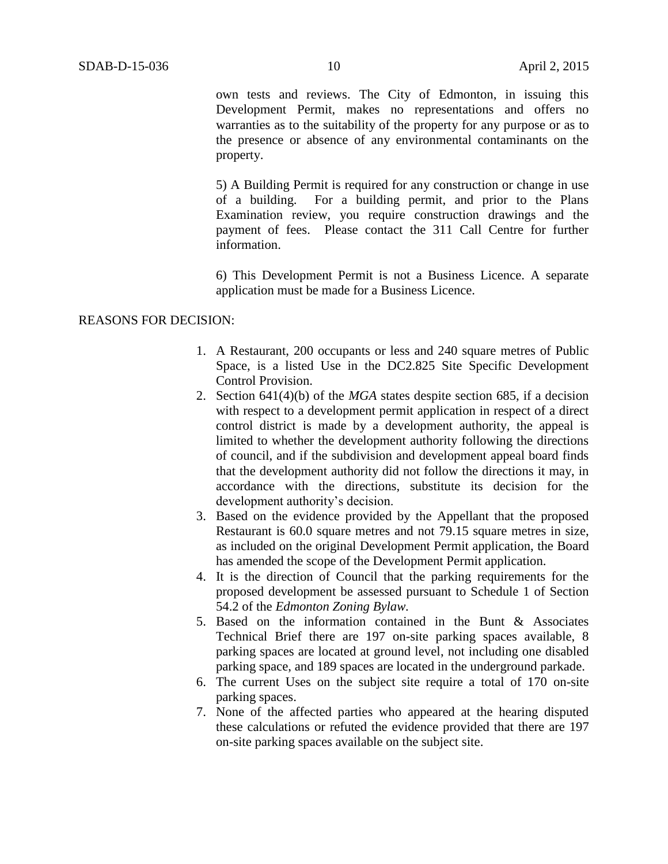own tests and reviews. The City of Edmonton, in issuing this Development Permit, makes no representations and offers no warranties as to the suitability of the property for any purpose or as to the presence or absence of any environmental contaminants on the property.

5) A Building Permit is required for any construction or change in use of a building. For a building permit, and prior to the Plans Examination review, you require construction drawings and the payment of fees. Please contact the 311 Call Centre for further information.

6) This Development Permit is not a Business Licence. A separate application must be made for a Business Licence.

## REASONS FOR DECISION:

- 1. A Restaurant, 200 occupants or less and 240 square metres of Public Space, is a listed Use in the DC2.825 Site Specific Development Control Provision.
- 2. Section 641(4)(b) of the *MGA* states despite section 685, if a decision with respect to a development permit application in respect of a direct control district is made by a development authority, the appeal is limited to whether the development authority following the directions of council, and if the subdivision and development appeal board finds that the development authority did not follow the directions it may, in accordance with the directions, substitute its decision for the development authority's decision.
- 3. Based on the evidence provided by the Appellant that the proposed Restaurant is 60.0 square metres and not 79.15 square metres in size, as included on the original Development Permit application, the Board has amended the scope of the Development Permit application.
- 4. It is the direction of Council that the parking requirements for the proposed development be assessed pursuant to Schedule 1 of Section 54.2 of the *Edmonton Zoning Bylaw.*
- 5. Based on the information contained in the Bunt & Associates Technical Brief there are 197 on-site parking spaces available, 8 parking spaces are located at ground level, not including one disabled parking space, and 189 spaces are located in the underground parkade.
- 6. The current Uses on the subject site require a total of 170 on-site parking spaces.
- 7. None of the affected parties who appeared at the hearing disputed these calculations or refuted the evidence provided that there are 197 on-site parking spaces available on the subject site.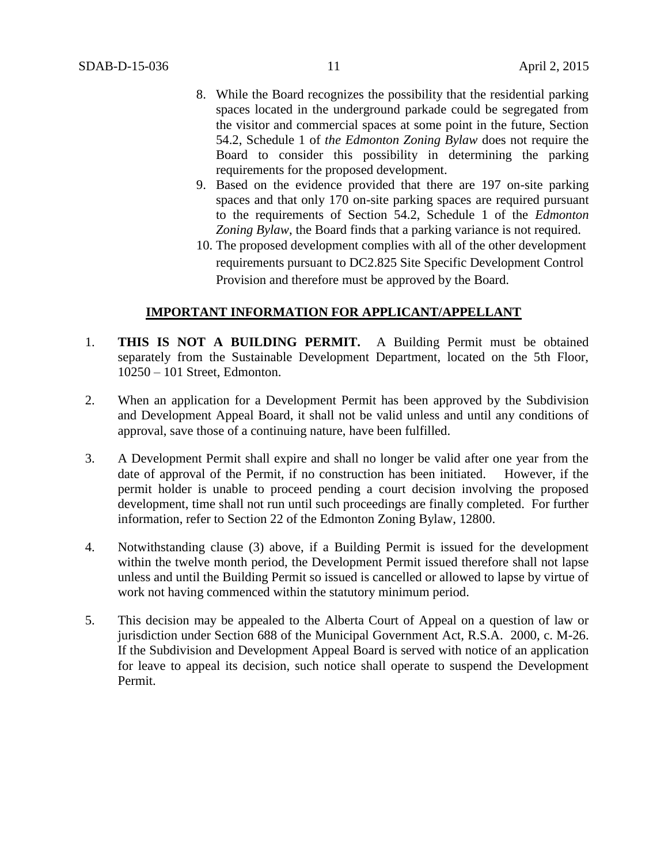- 8. While the Board recognizes the possibility that the residential parking spaces located in the underground parkade could be segregated from the visitor and commercial spaces at some point in the future, Section 54.2, Schedule 1 of *the Edmonton Zoning Bylaw* does not require the Board to consider this possibility in determining the parking requirements for the proposed development.
- 9. Based on the evidence provided that there are 197 on-site parking spaces and that only 170 on-site parking spaces are required pursuant to the requirements of Section 54.2, Schedule 1 of the *Edmonton Zoning Bylaw*, the Board finds that a parking variance is not required.
- 10. The proposed development complies with all of the other development requirements pursuant to DC2.825 Site Specific Development Control Provision and therefore must be approved by the Board.

# **IMPORTANT INFORMATION FOR APPLICANT/APPELLANT**

- 1. **THIS IS NOT A BUILDING PERMIT.** A Building Permit must be obtained separately from the Sustainable Development Department, located on the 5th Floor, 10250 – 101 Street, Edmonton.
- 2. When an application for a Development Permit has been approved by the Subdivision and Development Appeal Board, it shall not be valid unless and until any conditions of approval, save those of a continuing nature, have been fulfilled.
- 3. A Development Permit shall expire and shall no longer be valid after one year from the date of approval of the Permit, if no construction has been initiated. However, if the permit holder is unable to proceed pending a court decision involving the proposed development, time shall not run until such proceedings are finally completed. For further information, refer to Section 22 of the Edmonton Zoning Bylaw, 12800.
- 4. Notwithstanding clause (3) above, if a Building Permit is issued for the development within the twelve month period, the Development Permit issued therefore shall not lapse unless and until the Building Permit so issued is cancelled or allowed to lapse by virtue of work not having commenced within the statutory minimum period.
- 5. This decision may be appealed to the Alberta Court of Appeal on a question of law or jurisdiction under Section 688 of the Municipal Government Act, R.S.A. 2000, c. M-26. If the Subdivision and Development Appeal Board is served with notice of an application for leave to appeal its decision, such notice shall operate to suspend the Development Permit.